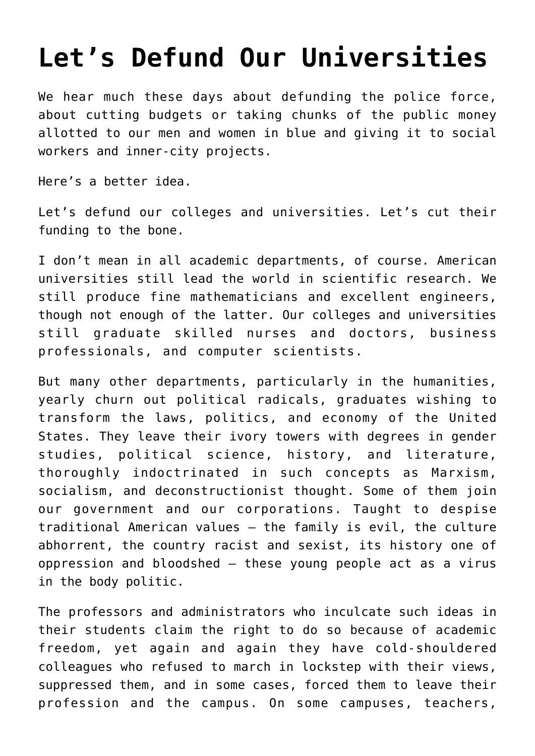## **[Let's Defund Our Universities](https://intellectualtakeout.org/2020/06/lets-defund-our-universities/)**

We hear much these days about defunding the police force, about cutting budgets or taking chunks of the public money allotted to our men and women in blue and giving it to social workers and inner-city projects.

Here's a better idea.

Let's defund our colleges and universities. Let's cut their funding to the bone.

I don't mean in all academic departments, of course. American universities still lead the world in scientific research. We still produce fine mathematicians and excellent engineers, though not enough of the latter. Our colleges and universities still graduate skilled nurses and doctors, business professionals, and computer scientists.

But many other departments, particularly in the humanities, yearly churn out political radicals, graduates wishing to transform the laws, politics, and economy of the United States. They leave their ivory towers with degrees in gender studies, political science, history, and literature, thoroughly indoctrinated in such concepts as Marxism, socialism, and deconstructionist thought. Some of them join our government and our corporations. Taught to despise traditional American values – the family is evil, the culture abhorrent, the country racist and sexist, its history one of oppression and bloodshed – these young people act as a virus in the body politic.

The professors and administrators who inculcate such ideas in their students claim the right to do so because of academic freedom, yet again and again they have cold-shouldered colleagues who refused to march in lockstep with their views, suppressed them, and in some cases, forced them to leave their profession and the campus. On some campuses, teachers,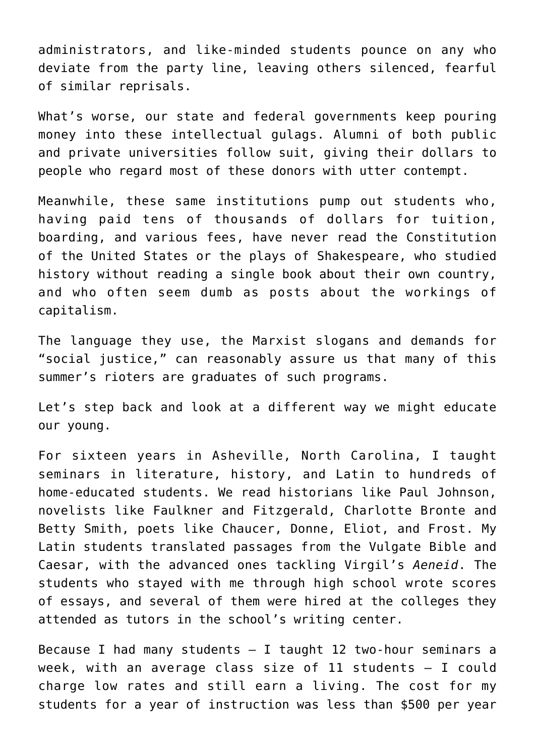administrators, and like-minded students pounce on any who deviate from the party line, leaving others silenced, fearful of similar reprisals.

What's worse, our state and federal governments keep pouring money into these intellectual gulags. Alumni of both public and private universities follow suit, giving their dollars to people who regard most of these donors with utter contempt.

Meanwhile, these same institutions pump out students who, having paid tens of thousands of dollars for tuition, boarding, and various fees, have never read the Constitution of the United States or the plays of Shakespeare, who studied history without reading a single book about their own country, and who often seem dumb as posts about the workings of capitalism.

The language they use, the Marxist slogans and demands for "social justice," can reasonably assure us that many of this summer's rioters are graduates of such programs.

Let's step back and look at a different way we might educate our young.

For sixteen years in Asheville, North Carolina, I taught seminars in literature, history, and Latin to hundreds of home-educated students. We read historians like Paul Johnson, novelists like Faulkner and Fitzgerald, Charlotte Bronte and Betty Smith, poets like Chaucer, Donne, Eliot, and Frost. My Latin students translated passages from the Vulgate Bible and Caesar, with the advanced ones tackling Virgil's *Aeneid*. The students who stayed with me through high school wrote scores of essays, and several of them were hired at the colleges they attended as tutors in the school's writing center.

Because I had many students  $-$  I taught 12 two-hour seminars a week, with an average class size of 11 students – I could charge low rates and still earn a living. The cost for my students for a year of instruction was less than \$500 per year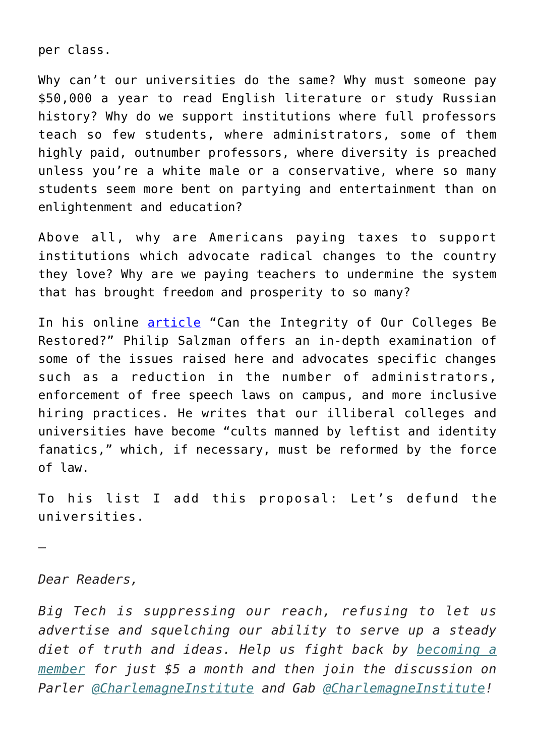per class.

Why can't our universities do the same? Why must someone pay \$50,000 a year to read English literature or study Russian history? Why do we support institutions where full professors teach so few students, where administrators, some of them highly paid, outnumber professors, where diversity is preached unless you're a white male or a conservative, where so many students seem more bent on partying and entertainment than on enlightenment and education?

Above all, why are Americans paying taxes to support institutions which advocate radical changes to the country they love? Why are we paying teachers to undermine the system that has brought freedom and prosperity to so many?

In his online [article](https://www.mindingthecampus.org/2020/04/27/can-the-integrity-of-our-colleges-be-restored/) "Can the Integrity of Our Colleges Be Restored?" Philip Salzman offers an in-depth examination of some of the issues raised here and advocates specific changes such as a reduction in the number of administrators, enforcement of free speech laws on campus, and more inclusive hiring practices. He writes that our illiberal colleges and universities have become "cults manned by leftist and identity fanatics," which, if necessary, must be reformed by the force of law.

To his list I add this proposal: Let's defund the universities.

—

*Dear Readers,*

*Big Tech is suppressing our reach, refusing to let us advertise and squelching our ability to serve up a steady diet of truth and ideas. Help us fight back by [becoming a](https://www.chroniclesmagazine.org/subscribe/) [member](https://www.chroniclesmagazine.org/subscribe/) for just \$5 a month and then join the discussion on Parler [@CharlemagneInstitute](https://parler.com/#/user/CharlemagneInstitute) and Gab [@CharlemagneInstitute](https://gab.com/CharlemagneInstitute)!*